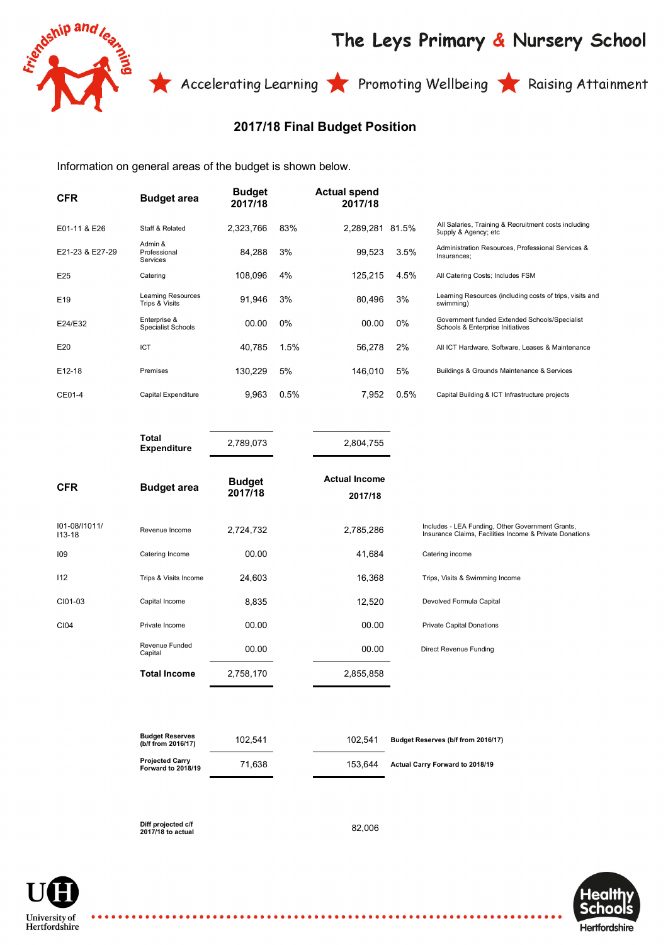

## The Leys Primary & Nursery School

Accelerating Learning **The Promoting Wellbeing The Raising Attainment** 

## **2017/18 Final Budget Position**

Information on general areas of the budget is shown below.

| <b>CFR</b>      | <b>Budget area</b>                        | <b>Budget</b><br>2017/18 |       | <b>Actual spend</b><br>2017/18 |       |                                                                                   |
|-----------------|-------------------------------------------|--------------------------|-------|--------------------------------|-------|-----------------------------------------------------------------------------------|
| E01-11 & E26    | Staff & Related                           | 2.323.766                | 83%   | 2.289.281                      | 81.5% | All Salaries, Training & Recruitment costs including<br>Supply & Agency; etc      |
| E21-23 & E27-29 | Admin &<br>Professional<br>Services       | 84,288                   | 3%    | 99,523                         | 3.5%  | Administration Resources, Professional Services &<br>Insurances:                  |
| E25             | Catering                                  | 108,096                  | 4%    | 125.215                        | 4.5%  | All Catering Costs; Includes FSM                                                  |
| E <sub>19</sub> | Learning Resources<br>Trips & Visits      | 91,946                   | 3%    | 80,496                         | 3%    | Learning Resources (including costs of trips, visits and<br>swimming)             |
| E24/E32         | Enterprise &<br><b>Specialist Schools</b> | 00.00                    | $0\%$ | 00.00                          | $0\%$ | Government funded Extended Schools/Specialist<br>Schools & Enterprise Initiatives |
| E <sub>20</sub> | ICT                                       | 40,785                   | 1.5%  | 56,278                         | 2%    | All ICT Hardware, Software, Leases & Maintenance                                  |
| E12-18          | Premises                                  | 130,229                  | 5%    | 146.010                        | 5%    | Buildings & Grounds Maintenance & Services                                        |
| CE01-4          | Capital Expenditure                       | 9,963                    | 0.5%  | 7,952                          | 0.5%  | Capital Building & ICT Infrastructure projects                                    |

|                             | Total<br><b>Expenditure</b> | 2,789,073                | 2,804,755                       |                                                                                                             |
|-----------------------------|-----------------------------|--------------------------|---------------------------------|-------------------------------------------------------------------------------------------------------------|
| <b>CFR</b>                  | <b>Budget area</b>          | <b>Budget</b><br>2017/18 | <b>Actual Income</b><br>2017/18 |                                                                                                             |
| 101-08/11011/<br>$113 - 18$ | Revenue Income              | 2,724,732                | 2,785,286                       | Includes - LEA Funding, Other Government Grants,<br>Insurance Claims, Facilities Income & Private Donations |
| 109                         | Catering Income             | 00.00                    | 41,684                          | Catering income                                                                                             |
| 112                         | Trips & Visits Income       | 24,603                   | 16,368                          | Trips, Visits & Swimming Income                                                                             |
| CI01-03                     | Capital Income              | 8,835                    | 12,520                          | Devolved Formula Capital                                                                                    |
| CI04                        | Private Income              | 00.00                    | 00.00                           | <b>Private Capital Donations</b>                                                                            |
|                             | Revenue Funded<br>Capital   | 00.00                    | 00.00                           | Direct Revenue Funding                                                                                      |
|                             | Total Income                | 2,758,170                | 2,855,858                       |                                                                                                             |

| <b>Budget Reserves</b><br>(b/f from 2016/17) | 102.541 | 102.541 | Budget Reserves (b/f from 2016/17)     |
|----------------------------------------------|---------|---------|----------------------------------------|
| <b>Projected Carry</b><br>Forward to 2018/19 | 71.638  | 153.644 | <b>Actual Carry Forward to 2018/19</b> |

**Diff projected c/f 2017/18 to actual** 82,006

University of Hertfordshire